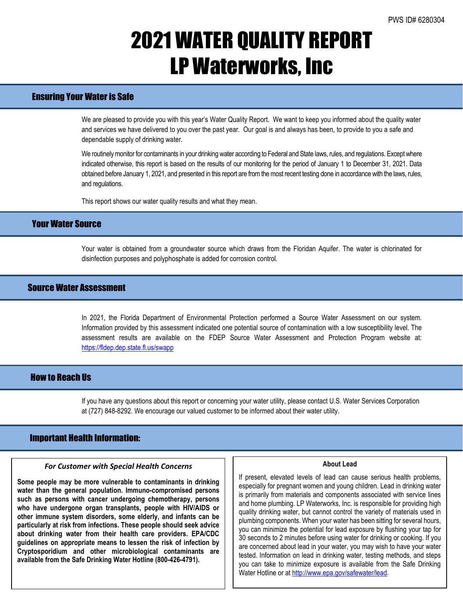## 2021 WATER QUALITY REPORT LP Waterworks, Inc

## Ensuring Your Water is Safe

We are pleased to provide you with this year's Water Quality Report. We want to keep you informed about the quality water and services we have delivered to you over the past year. Our goal is and always has been, to provide to you a safe and dependable supply of drinking water.

We routinely monitor for contaminants in your drinking water according to Federal and State laws, rules, and regulations. Except where indicated otherwise, this report is based on the results of our monitoring for the period of January 1 to December 31, 2021. Data obtained before January 1, 2021, and presented in this report are from the most recent testing done in accordance with the laws, rules, and regulations.

This report shows our water quality results and what they mean.

### Your Water Source

Your water is obtained from a groundwater source which draws from the Floridan Aquifer. The water is chlorinated for disinfection purposes and polyphosphate is added for corrosion control.

### Source Water Assessment

In 2021, the Florida Department of Environmental Protection performed a Source Water Assessment on our system. Information provided by this assessment indicated one potential source of contamination with a low susceptibility level. The assessment results are available on the FDEP Source Water Assessment and Protection Program website at: <https://fldep.dep.state.fl.us/swapp>

## How to Reach Us

If you have any questions about this report or concerning your water utility, please contact U.S. Water Services Corporation at (727) 848-8292. We encourage our valued customer to be informed about their water utility.

### Important Health Information:

l

#### *For Customer with Special Health Concerns*

**Some people may be more vulnerable to contaminants in drinking water than the general population. Immuno-compromised persons such as persons with cancer undergoing chemotherapy, persons who have undergone organ transplants, people with HIV/AIDS or other immune system disorders, some elderly, and infants can be particularly at risk from infections. These people should seek advice about drinking water from their health care providers. EPA/CDC guidelines on appropriate means to lessen the risk of infection by Cryptosporidium and other microbiological contaminants are available from the Safe Drinking Water Hotline (800-426-4791).**

#### **About Lead**

If present, elevated levels of lead can cause serious health problems, especially for pregnant women and young children. Lead in drinking water is primarily from materials and components associated with service lines and home plumbing. LP Waterworks, Inc. is responsible for providing high quality drinking water, but cannot control the variety of materials used in plumbing components. When your water has been sitting for several hours, you can minimize the potential for lead exposure by flushing your tap for 30 seconds to 2 minutes before using water for drinking or cooking. If you are concerned about lead in your water, you may wish to have your water tested. Information on lead in drinking water, testing methods, and steps you can take to minimize exposure is available from the Safe Drinking Water Hotline or a[t http://www.epa.gov/safewater/lead.](http://www.epa.gov/safewater/lead)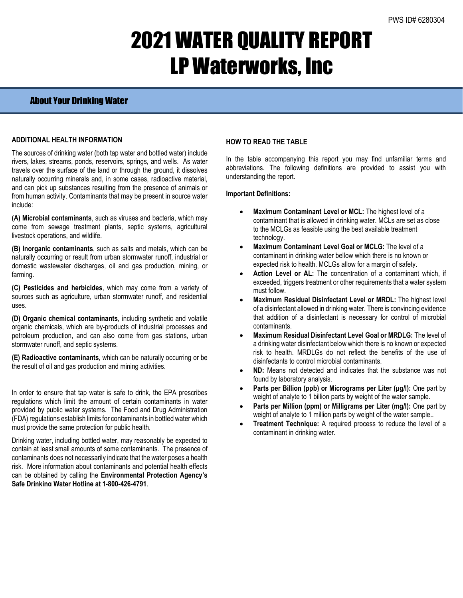# 2021 WATER QUALITY REPORT LP Waterworks, Inc

## About Your Drinking Water

### **ADDITIONAL HEALTH INFORMATION**

The sources of drinking water (both tap water and bottled water) include rivers, lakes, streams, ponds, reservoirs, springs, and wells. As water travels over the surface of the land or through the ground, it dissolves naturally occurring minerals and, in some cases, radioactive material, and can pick up substances resulting from the presence of animals or from human activity. Contaminants that may be present in source water include:

**(A) Microbial contaminants**, such as viruses and bacteria, which may come from sewage treatment plants, septic systems, agricultural livestock operations, and wildlife.

**(B) Inorganic contaminants**, such as salts and metals, which can be naturally occurring or result from urban stormwater runoff, industrial or domestic wastewater discharges, oil and gas production, mining, or farming.

**(C) Pesticides and herbicides**, which may come from a variety of sources such as agriculture, urban stormwater runoff, and residential uses.

**(D) Organic chemical contaminants**, including synthetic and volatile organic chemicals, which are by-products of industrial processes and petroleum production, and can also come from gas stations, urban stormwater runoff, and septic systems.

**(E) Radioactive contaminants**, which can be naturally occurring or be the result of oil and gas production and mining activities.

In order to ensure that tap water is safe to drink, the EPA prescribes regulations which limit the amount of certain contaminants in water provided by public water systems. The Food and Drug Administration (FDA) regulations establish limits for contaminants in bottled water which must provide the same protection for public health.

Drinking water, including bottled water, may reasonably be expected to contain at least small amounts of some contaminants. The presence of contaminants does not necessarily indicate that the water poses a health risk. More information about contaminants and potential health effects can be obtained by calling the **Environmental Protection Agency's Safe Drinking Water Hotline at 1-800-426-4791**.

### **HOW TO READ THE TABLE**

In the table accompanying this report you may find unfamiliar terms and abbreviations. The following definitions are provided to assist you with understanding the report.

#### **Important Definitions:**

- **Maximum Contaminant Level or MCL:** The highest level of a contaminant that is allowed in drinking water. MCLs are set as close to the MCLGs as feasible using the best available treatment technology.
- **Maximum Contaminant Level Goal or MCLG:** The level of a contaminant in drinking water bellow which there is no known or expected risk to health. MCLGs allow for a margin of safety.
- Action Level or AL: The concentration of a contaminant which, if exceeded, triggers treatment or other requirements that a water system must follow.
- **Maximum Residual Disinfectant Level or MRDL:** The highest level of a disinfectant allowed in drinking water. There is convincing evidence that addition of a disinfectant is necessary for control of microbial contaminants.
- **Maximum Residual Disinfectant Level Goal or MRDLG:** The level of a drinking water disinfectant below which there is no known or expected risk to health. MRDLGs do not reflect the benefits of the use of disinfectants to control microbial contaminants.
- **ND:** Means not detected and indicates that the substance was not found by laboratory analysis.
- **Parts per Billion (ppb) or Micrograms per Liter (μg/l):** One part by weight of analyte to 1 billion parts by weight of the water sample.
- **Parts per Million (ppm) or Milligrams per Liter (mg/l):** One part by weight of analyte to 1 million parts by weight of the water sample..
- **Treatment Technique:** A required process to reduce the level of a contaminant in drinking water.